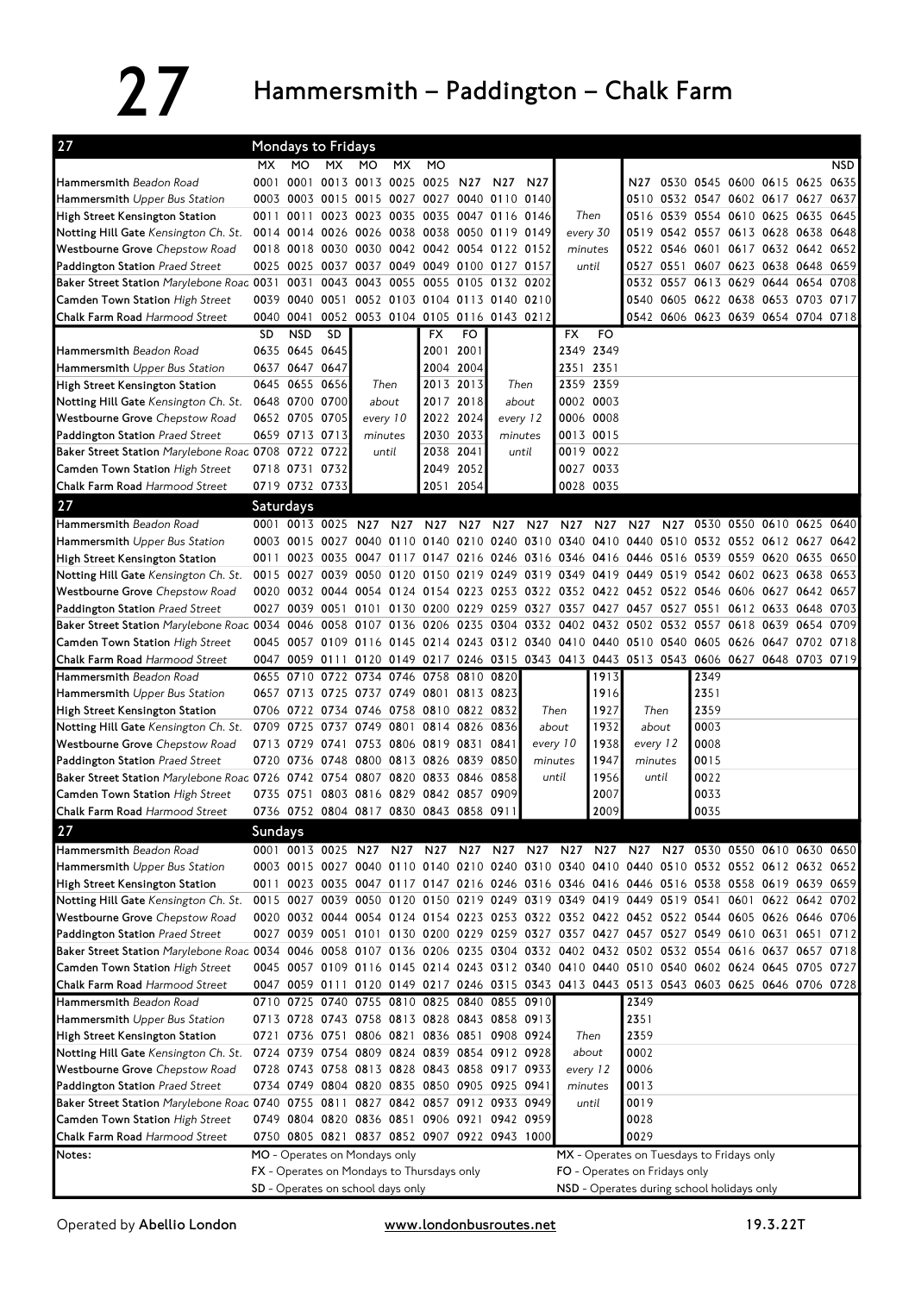## 27 Hammersmith – Paddington – Chalk Farm

| 27                                                                                                                             |                                                                                 | Mondays to Fridays                                                                        |                     |                                    |                          |                 |                 |                |                                                         |                                                                             |                 |                 |           |      |                                                                            |  |           |      |  |
|--------------------------------------------------------------------------------------------------------------------------------|---------------------------------------------------------------------------------|-------------------------------------------------------------------------------------------|---------------------|------------------------------------|--------------------------|-----------------|-----------------|----------------|---------------------------------------------------------|-----------------------------------------------------------------------------|-----------------|-----------------|-----------|------|----------------------------------------------------------------------------|--|-----------|------|--|
|                                                                                                                                | MX.                                                                             | MO                                                                                        | МX                  | MO.                                | <b>MX</b>                | <b>MO</b>       |                 |                |                                                         |                                                                             |                 |                 |           |      |                                                                            |  |           | NSD  |  |
| <b>Hammersmith</b> Beadon Road                                                                                                 | 0001                                                                            | 0001                                                                                      |                     | 0013 0013 0025                     |                          | 0025            | N27             | N27            | N <sub>27</sub>                                         |                                                                             |                 | N27             |           |      | 0530 0545 0600 0615 0625                                                   |  |           | 0635 |  |
| <b>Hammersmith</b> Upper Bus Station                                                                                           | 0003                                                                            | 0003 0015 0015 0027 0027 0040 0110 0140                                                   |                     |                                    |                          |                 |                 |                |                                                         |                                                                             |                 |                 |           |      | 0510 0532 0547 0602 0617 0627                                              |  |           | 0637 |  |
| High Street Kensington Station                                                                                                 | 0011                                                                            | 0011                                                                                      |                     | 0023 0023                          | 0035                     |                 |                 | 0035 0047 0116 | 0146                                                    |                                                                             | Then            | 0516            | 0539      |      | 0554 0610 0625                                                             |  | 0635      | 0645 |  |
| Notting Hill Gate Kensington Ch. St.                                                                                           |                                                                                 | 0014 0014 0026 0026 0038 0038 0050 0119 0149                                              |                     |                                    |                          |                 |                 |                |                                                         |                                                                             | every 30        | 0519            |           |      | 0542 0557 0613 0628 0638 0648                                              |  |           |      |  |
| Westbourne Grove Chepstow Road                                                                                                 |                                                                                 | 0018 0018 0030 0030 0042 0042 0054 0122 0152                                              |                     |                                    |                          |                 |                 |                |                                                         | minutes                                                                     |                 |                 |           |      | 0522 0546 0601 0617 0632 0642 0652                                         |  |           |      |  |
| Paddington Station Praed Street                                                                                                | 0025                                                                            | 0025 0037 0037 0049 0049 0100 0127 0157                                                   |                     |                                    |                          |                 |                 |                |                                                         |                                                                             | until           |                 |           |      | 0527 0551 0607 0623 0638                                                   |  | 0648 0659 |      |  |
| Baker Street Station Marylebone Roac 0031                                                                                      |                                                                                 | 0031                                                                                      |                     | 0043 0043 0055 0055 0105 0132 0202 |                          |                 |                 |                |                                                         |                                                                             |                 |                 |           |      | 0532 0557 0613 0629 0644 0654 0708                                         |  |           |      |  |
| Camden Town Station High Street                                                                                                |                                                                                 | 0039 0040 0051 0052 0103 0104 0113 0140 0210                                              |                     |                                    |                          |                 |                 |                |                                                         |                                                                             |                 |                 |           |      | 0540 0605 0622 0638 0653 0703 0717                                         |  |           |      |  |
| Chalk Farm Road Harmood Street                                                                                                 |                                                                                 | 0040 0041                                                                                 |                     | 0052 0053 0104 0105 0116 0143 0212 |                          |                 |                 |                |                                                         |                                                                             |                 |                 |           |      | 0542 0606 0623 0639 0654 0704 0718                                         |  |           |      |  |
|                                                                                                                                | SD                                                                              | <b>NSD</b>                                                                                | SD                  |                                    |                          | <b>FX</b>       | FO              |                |                                                         | FX                                                                          | FO              |                 |           |      |                                                                            |  |           |      |  |
| Hammersmith Beadon Road                                                                                                        |                                                                                 | 0635 0645 0645                                                                            |                     |                                    |                          | 2001            | 2001            |                |                                                         |                                                                             | 2349 2349       |                 |           |      |                                                                            |  |           |      |  |
| Hammersmith Upper Bus Station                                                                                                  |                                                                                 | 0637 0647 0647                                                                            |                     |                                    |                          |                 | 2004 2004       |                |                                                         |                                                                             | 2351 2351       |                 |           |      |                                                                            |  |           |      |  |
| High Street Kensington Station                                                                                                 |                                                                                 | 0645 0655 0656                                                                            |                     |                                    | Then                     |                 | 2013 2013       |                | Then                                                    |                                                                             | 2359 2359       |                 |           |      |                                                                            |  |           |      |  |
| Notting Hill Gate Kensington Ch. St.                                                                                           |                                                                                 | 0648 0700 0700                                                                            |                     |                                    | about                    |                 | 2017 2018       |                | about                                                   |                                                                             | 0002 0003       |                 |           |      |                                                                            |  |           |      |  |
| Westbourne Grove Chepstow Road                                                                                                 |                                                                                 | 0652 0705 0705                                                                            |                     |                                    | every 10                 |                 | 2022 2024       |                | every 12                                                | 0006 0008                                                                   |                 |                 |           |      |                                                                            |  |           |      |  |
| Paddington Station Praed Street                                                                                                |                                                                                 | 0659 0713 0713                                                                            |                     | minutes                            |                          | 2030            | 2033            |                | minutes                                                 |                                                                             | 0013 0015       |                 |           |      |                                                                            |  |           |      |  |
| Baker Street Station Marylebone Road 0708 0722 0722                                                                            |                                                                                 |                                                                                           |                     | until                              |                          |                 | 2038 2041       |                | until                                                   |                                                                             | 0019 0022       |                 |           |      |                                                                            |  |           |      |  |
| Camden Town Station High Street                                                                                                |                                                                                 | 0718 0731 0732                                                                            |                     |                                    |                          |                 | 2049 2052       |                |                                                         |                                                                             | 0027 0033       |                 |           |      |                                                                            |  |           |      |  |
| Chalk Farm Road Harmood Street                                                                                                 |                                                                                 | 0719 0732 0733                                                                            |                     |                                    |                          |                 | 2051 2054       |                |                                                         |                                                                             | 0028 0035       |                 |           |      |                                                                            |  |           |      |  |
| 27                                                                                                                             |                                                                                 | Saturdays                                                                                 |                     |                                    |                          |                 |                 |                |                                                         |                                                                             |                 |                 |           |      |                                                                            |  |           |      |  |
| Hammersmith Beadon Road                                                                                                        |                                                                                 | 0001 0013 0025 N27                                                                        |                     |                                    | N <sub>27</sub>          | N <sub>27</sub> | N <sub>27</sub> | N27            | N <sub>27</sub>                                         | N27                                                                         | N <sub>27</sub> | N <sub>27</sub> | N27       | 0530 | 0550 0610 0625 0640                                                        |  |           |      |  |
| Hammersmith Upper Bus Station                                                                                                  |                                                                                 | 0003 0015                                                                                 |                     | 0027 0040                          | 0110                     |                 |                 |                |                                                         | 0140 0210 0240 0310 0340 0410 0440                                          |                 |                 |           |      | 0510 0532 0552 0612 0627                                                   |  |           | 0642 |  |
| High Street Kensington Station                                                                                                 | 0011                                                                            | 0023 0035 0047 0117 0147 0216 0246 0316 0346 0416 0446 0516 0539 0559 0620 0635 0650      |                     |                                    |                          |                 |                 |                |                                                         |                                                                             |                 |                 |           |      |                                                                            |  |           |      |  |
| Notting Hill Gate Kensington Ch. St.                                                                                           | 0015                                                                            |                                                                                           | 0027 0039 0050 0120 |                                    |                          |                 |                 |                |                                                         | 0150 0219 0249 0319 0349 0419 0449                                          |                 |                 | 0519      |      | 0542 0602 0623                                                             |  | 0638      | 0653 |  |
| Westbourne Grove Chepstow Road                                                                                                 |                                                                                 | 0020 0032 0044 0054                                                                       |                     |                                    | 0124                     |                 |                 |                |                                                         | 0154 0223 0253 0322 0352 0422 0452                                          |                 |                 | 0522 0546 |      | 0606 0627 0642 0657                                                        |  |           |      |  |
| Paddington Station Praed Street                                                                                                |                                                                                 | 0027 0039 0051 0101 0130 0200 0229 0259 0327 0357 0427 0457 0527 0551                     |                     |                                    |                          |                 |                 |                |                                                         |                                                                             |                 |                 |           |      | 0612 0633 0648 0703                                                        |  |           |      |  |
| Baker Street Station Marylebone Road 0034                                                                                      |                                                                                 |                                                                                           |                     |                                    |                          |                 |                 |                |                                                         |                                                                             |                 |                 |           |      | 0046 0058 0107 0136 0206 0235 0304 0332 0402 0432 0502 0532 0557 0618 0639 |  | 0654 0709 |      |  |
| <b>Camden Town Station High Street</b>                                                                                         |                                                                                 | 0045 0057 0109 0116 0145 0214 0243 0312 0340 0410 0440 0510 0540 0605 0626 0647 0702 0718 |                     |                                    |                          |                 |                 |                |                                                         |                                                                             |                 |                 |           |      |                                                                            |  |           |      |  |
| Chalk Farm Road Harmood Street                                                                                                 |                                                                                 | 0047 0059 0111 0120 0149 0217 0246 0315 0343 0413 0443 0513 0543 0606 0627 0648 0703 0719 |                     |                                    |                          |                 |                 |                |                                                         |                                                                             |                 |                 |           |      |                                                                            |  |           |      |  |
| Hammersmith Beadon Road                                                                                                        | 0655                                                                            | 0710                                                                                      |                     | 0722 0734 0746 0758 0810 0820      |                          |                 |                 |                |                                                         |                                                                             | 1913            |                 |           | 2349 |                                                                            |  |           |      |  |
| <b>Hammersmith</b> Upper Bus Station                                                                                           |                                                                                 | 0657 0713 0725 0737 0749 0801 0813 0823                                                   |                     |                                    |                          |                 |                 |                |                                                         |                                                                             | 1916            |                 |           | 2351 |                                                                            |  |           |      |  |
| High Street Kensington Station                                                                                                 |                                                                                 | 0706 0722 0734 0746 0758 0810 0822 0832                                                   |                     |                                    |                          |                 |                 |                | Then                                                    |                                                                             | 1927            | Then<br>1932    |           | 2359 |                                                                            |  |           |      |  |
| Notting Hill Gate Kensington Ch. St.                                                                                           |                                                                                 | 0709 0725 0737 0749 0801 0814 0826 0836                                                   |                     |                                    |                          |                 |                 |                |                                                         | about                                                                       |                 |                 | about     | 0003 |                                                                            |  |           |      |  |
| Westbourne Grove Chepstow Road                                                                                                 |                                                                                 | 0713 0729                                                                                 | 0741                |                                    | 0753 0806 0819 0831 0841 |                 |                 |                |                                                         | every 10                                                                    | 1938            |                 | every 12  | 0008 |                                                                            |  |           |      |  |
| Paddington Station Praed Street                                                                                                |                                                                                 | 0720 0736 0748 0800 0813 0826 0839 0850                                                   |                     |                                    |                          |                 |                 |                | minutes                                                 |                                                                             | 1947<br>1956    | minutes         |           | 0015 |                                                                            |  |           |      |  |
| Baker Street Station Marylebone Road 0726                                                                                      |                                                                                 | 0742 0754 0807 0820 0833 0846 0858                                                        |                     |                                    |                          |                 |                 |                |                                                         | until                                                                       |                 |                 | until     | 0022 |                                                                            |  |           |      |  |
| <b>Camden Town Station High Street</b>                                                                                         |                                                                                 | 0735 0751                                                                                 |                     | 0803 0816 0829                     |                          | 0842 0857 0909  |                 |                |                                                         |                                                                             | 2007            |                 |           | 0033 |                                                                            |  |           |      |  |
| Chalk Farm Road Harmood Street                                                                                                 |                                                                                 | 0736 0752 0804 0817 0830 0843 0858 0911                                                   |                     |                                    |                          |                 |                 |                |                                                         |                                                                             | 2009            |                 |           | 0035 |                                                                            |  |           |      |  |
| 27                                                                                                                             | Sundays                                                                         |                                                                                           |                     |                                    |                          |                 |                 |                |                                                         |                                                                             |                 |                 |           |      |                                                                            |  |           |      |  |
| Hammersmith Beadon Road                                                                                                        |                                                                                 | 0001 0013 0025 N27                                                                        |                     |                                    |                          | N27 N27 N27     |                 | N27            | N27                                                     | N27                                                                         | N27             | N27             |           |      | N27 0530 0550 0610 0630 0650                                               |  |           |      |  |
| Hammersmith Upper Bus Station                                                                                                  |                                                                                 | 0003 0015 0027 0040 0110 0140 0210 0240 0310 0340 0410 0440 0510 0532 0552 0612 0632 0652 |                     |                                    |                          |                 |                 |                |                                                         |                                                                             |                 |                 |           |      |                                                                            |  |           |      |  |
| High Street Kensington Station                                                                                                 |                                                                                 | 0011 0023 0035 0047 0117 0147 0216 0246 0316 0346 0416 0446 0516 0538 0558 0619 0639 0659 |                     |                                    |                          |                 |                 |                |                                                         |                                                                             |                 |                 |           |      |                                                                            |  |           |      |  |
| Notting Hill Gate Kensington Ch. St.                                                                                           |                                                                                 | 0015 0027 0039 0050 0120 0150 0219 0249 0319 0349 0419 0449 0519 0541 0601 0622 0642 0702 |                     |                                    |                          |                 |                 |                |                                                         |                                                                             |                 |                 |           |      |                                                                            |  |           |      |  |
| Westbourne Grove Chepstow Road                                                                                                 |                                                                                 | 0020 0032 0044 0054 0124 0154 0223 0253 0322 0352 0422 0452 0522 0544 0605 0626 0646 0706 |                     |                                    |                          |                 |                 |                |                                                         |                                                                             |                 |                 |           |      |                                                                            |  |           |      |  |
| Paddington Station Praed Street                                                                                                |                                                                                 | 0027 0039 0051 0101 0130 0200 0229 0259 0327 0357 0427 0457 0527 0549 0610 0631 0651 0712 |                     |                                    |                          |                 |                 |                |                                                         |                                                                             |                 |                 |           |      |                                                                            |  |           |      |  |
| Baker Street Station Marylebone Roac 0034 0046 0058 0107 0136 0206 0235 0304 0332 0402 0432 0502 0532 0554 0616 0637 0657 0718 |                                                                                 |                                                                                           |                     |                                    |                          |                 |                 |                |                                                         |                                                                             |                 |                 |           |      |                                                                            |  |           |      |  |
| Camden Town Station High Street                                                                                                |                                                                                 | 0045 0057 0109 0116 0145 0214 0243 0312 0340 0410 0440 0510 0540 0602 0624 0645 0705 0727 |                     |                                    |                          |                 |                 |                |                                                         |                                                                             |                 |                 |           |      |                                                                            |  |           |      |  |
| Chalk Farm Road Harmood Street                                                                                                 |                                                                                 | 0047 0059 0111 0120 0149 0217 0246 0315 0343 0413 0443 0513 0543 0603 0625 0646 0706 0728 |                     |                                    |                          |                 |                 |                |                                                         |                                                                             |                 |                 |           |      |                                                                            |  |           |      |  |
| Hammersmith Beadon Road                                                                                                        |                                                                                 | 0710 0725 0740 0755 0810 0825 0840 0855 0910                                              |                     |                                    |                          |                 |                 |                |                                                         |                                                                             |                 | 2349            |           |      |                                                                            |  |           |      |  |
| Hammersmith Upper Bus Station                                                                                                  |                                                                                 | 0713 0728 0743 0758 0813 0828 0843 0858 0913                                              |                     |                                    |                          |                 |                 |                |                                                         |                                                                             |                 | 2351            |           |      |                                                                            |  |           |      |  |
| High Street Kensington Station                                                                                                 |                                                                                 | 0721 0736 0751 0806 0821 0836 0851 0908 0924                                              |                     |                                    |                          |                 |                 |                |                                                         |                                                                             | Then            | 2359            |           |      |                                                                            |  |           |      |  |
| Notting Hill Gate Kensington Ch. St.                                                                                           |                                                                                 | 0724 0739 0754 0809 0824 0839 0854 0912 0928                                              |                     |                                    |                          |                 |                 |                |                                                         |                                                                             | about           | 0002            |           |      |                                                                            |  |           |      |  |
| Westbourne Grove Chepstow Road                                                                                                 |                                                                                 | 0728 0743 0758 0813 0828 0843 0858 0917 0933                                              |                     |                                    |                          |                 |                 |                |                                                         |                                                                             | every 12        | 0006            |           |      |                                                                            |  |           |      |  |
| Paddington Station Praed Street                                                                                                |                                                                                 |                                                                                           |                     |                                    |                          |                 |                 |                | 0734 0749 0804 0820 0835 0850 0905 0925 0941<br>minutes |                                                                             |                 | 0013            |           |      |                                                                            |  |           |      |  |
| Baker Street Station Marylebone Roac 0740 0755 0811 0827 0842 0857 0912 0933 0949                                              |                                                                                 |                                                                                           |                     |                                    |                          |                 |                 |                |                                                         |                                                                             | until           | 0019            |           |      |                                                                            |  |           |      |  |
| Camden Town Station High Street                                                                                                |                                                                                 | 0749 0804 0820 0836 0851 0906 0921 0942 0959                                              |                     |                                    |                          |                 |                 |                |                                                         |                                                                             |                 | 0028            |           |      |                                                                            |  |           |      |  |
| Chalk Farm Road Harmood Street                                                                                                 |                                                                                 | 0750 0805 0821 0837 0852 0907 0922 0943 1000                                              |                     |                                    |                          |                 |                 |                |                                                         |                                                                             |                 | 0029            |           |      |                                                                            |  |           |      |  |
| Notes:                                                                                                                         | MO - Operates on Mondays only                                                   |                                                                                           |                     |                                    |                          |                 |                 |                |                                                         | MX - Operates on Tuesdays to Fridays only                                   |                 |                 |           |      |                                                                            |  |           |      |  |
|                                                                                                                                | FX - Operates on Mondays to Thursdays only<br>SD - Operates on school days only |                                                                                           |                     |                                    |                          |                 |                 |                |                                                         | FO - Operates on Fridays only<br>NSD - Operates during school holidays only |                 |                 |           |      |                                                                            |  |           |      |  |
|                                                                                                                                |                                                                                 |                                                                                           |                     |                                    |                          |                 |                 |                |                                                         |                                                                             |                 |                 |           |      |                                                                            |  |           |      |  |